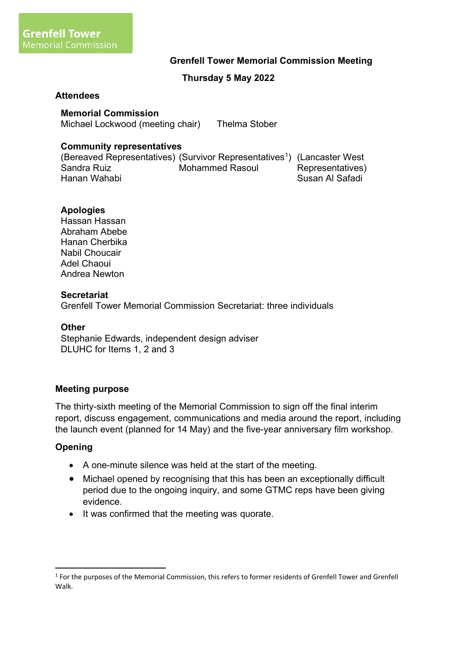### **Grenfell Tower Memorial Commission Meeting**

## **Thursday 5 May 2022**

#### **Attendees**

### **Memorial Commission**

Michael Lockwood (meeting chair) Thelma Stober

### **Community representatives**

(Bereaved Representatives) (Survivor Representatives<sup>1</sup>) (Lancaster West Sandra Ruiz Hanan Wahabi Mohammed Rasoul Representatives) Susan Al Safadi

### **Apologies**

Hassan Hassan Abraham Abebe Hanan Cherbika Nabil Choucair Adel Chaoui Andrea Newton

#### **Secretariat**

Grenfell Tower Memorial Commission Secretariat: three individuals

#### **Other**

Stephanie Edwards, independent design adviser DLUHC for Items 1, 2 and 3

### **Meeting purpose**

The thirty-sixth meeting of the Memorial Commission to sign off the final interim report, discuss engagement, communications and media around the report, including the launch event (planned for 14 May) and the five-year anniversary film workshop.

### **Opening**

- A one-minute silence was held at the start of the meeting.
- Michael opened by recognising that this has been an exceptionally difficult period due to the ongoing inquiry, and some GTMC reps have been giving evidence.
- It was confirmed that the meeting was quorate.

<sup>&</sup>lt;sup>1</sup> For the purposes of the Memorial Commission, this refers to former residents of Grenfell Tower and Grenfell Walk.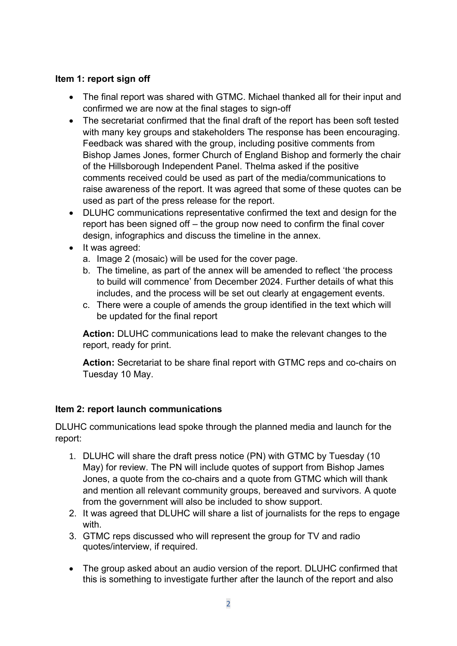## **Item 1: report sign off**

- The final report was shared with GTMC. Michael thanked all for their input and confirmed we are now at the final stages to sign-off
- The secretariat confirmed that the final draft of the report has been soft tested with many key groups and stakeholders The response has been encouraging. Feedback was shared with the group, including positive comments from Bishop James Jones, former Church of England Bishop and formerly the chair of the Hillsborough Independent Panel. Thelma asked if the positive comments received could be used as part of the media/communications to raise awareness of the report. It was agreed that some of these quotes can be used as part of the press release for the report.
- DLUHC communications representative confirmed the text and design for the report has been signed off – the group now need to confirm the final cover design, infographics and discuss the timeline in the annex.
- It was agreed:
	- a. Image 2 (mosaic) will be used for the cover page.
	- b. The timeline, as part of the annex will be amended to reflect 'the process to build will commence' from December 2024. Further details of what this includes, and the process will be set out clearly at engagement events.
	- c. There were a couple of amends the group identified in the text which will be updated for the final report

**Action:** DLUHC communications lead to make the relevant changes to the report, ready for print.

**Action:** Secretariat to be share final report with GTMC reps and co-chairs on Tuesday 10 May.

## **Item 2: report launch communications**

DLUHC communications lead spoke through the planned media and launch for the report:

- 1. DLUHC will share the draft press notice (PN) with GTMC by Tuesday (10 May) for review. The PN will include quotes of support from Bishop James Jones, a quote from the co-chairs and a quote from GTMC which will thank and mention all relevant community groups, bereaved and survivors. A quote from the government will also be included to show support.
- 2. It was agreed that DLUHC will share a list of journalists for the reps to engage with.
- 3. GTMC reps discussed who will represent the group for TV and radio quotes/interview, if required.
- The group asked about an audio version of the report. DLUHC confirmed that this is something to investigate further after the launch of the report and also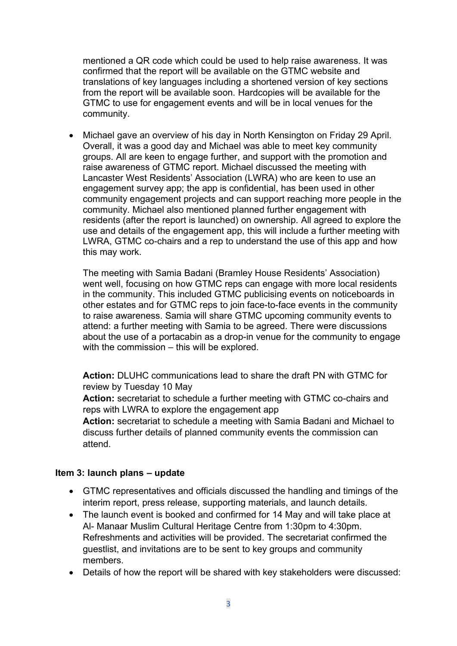mentioned a QR code which could be used to help raise awareness. It was confirmed that the report will be available on the GTMC website and translations of key languages including a shortened version of key sections from the report will be available soon. Hardcopies will be available for the GTMC to use for engagement events and will be in local venues for the community.

• Michael gave an overview of his day in North Kensington on Friday 29 April. Overall, it was a good day and Michael was able to meet key community groups. All are keen to engage further, and support with the promotion and raise awareness of GTMC report. Michael discussed the meeting with Lancaster West Residents' Association (LWRA) who are keen to use an engagement survey app; the app is confidential, has been used in other community engagement projects and can support reaching more people in the community. Michael also mentioned planned further engagement with residents (after the report is launched) on ownership. All agreed to explore the use and details of the engagement app, this will include a further meeting with LWRA, GTMC co-chairs and a rep to understand the use of this app and how this may work.

The meeting with Samia Badani (Bramley House Residents' Association) went well, focusing on how GTMC reps can engage with more local residents in the community. This included GTMC publicising events on noticeboards in other estates and for GTMC reps to join face-to-face events in the community to raise awareness. Samia will share GTMC upcoming community events to attend: a further meeting with Samia to be agreed. There were discussions about the use of a portacabin as a drop-in venue for the community to engage with the commission – this will be explored.

**Action:** DLUHC communications lead to share the draft PN with GTMC for review by Tuesday 10 May

**Action:** secretariat to schedule a further meeting with GTMC co-chairs and reps with LWRA to explore the engagement app

**Action:** secretariat to schedule a meeting with Samia Badani and Michael to discuss further details of planned community events the commission can attend.

### **Item 3: launch plans – update**

- GTMC representatives and officials discussed the handling and timings of the interim report, press release, supporting materials, and launch details.
- The launch event is booked and confirmed for 14 May and will take place at Al- Manaar Muslim Cultural Heritage Centre from 1:30pm to 4:30pm. Refreshments and activities will be provided. The secretariat confirmed the guestlist, and invitations are to be sent to key groups and community members.
- Details of how the report will be shared with key stakeholders were discussed: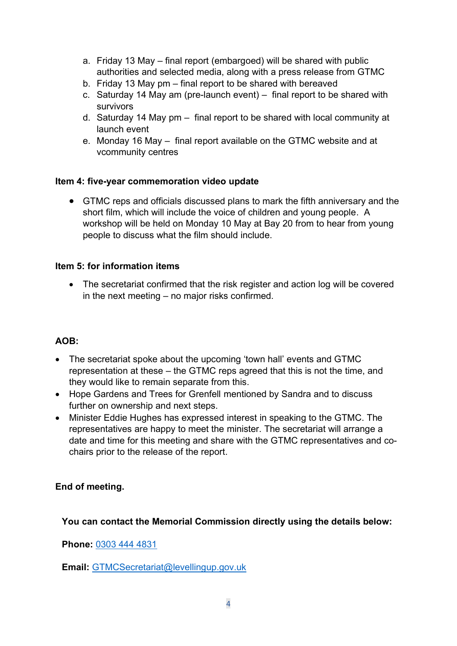- a. Friday 13 May final report (embargoed) will be shared with public authorities and selected media, along with a press release from GTMC
- b. Friday 13 May pm final report to be shared with bereaved
- c. Saturday 14 May am (pre-launch event) final report to be shared with survivors
- d. Saturday 14 May pm final report to be shared with local community at launch event
- e. Monday 16 May final report available on the GTMC website and at vcommunity centres

## **Item 4: five-year commemoration video update**

• GTMC reps and officials discussed plans to mark the fifth anniversary and the short film, which will include the voice of children and young people. A workshop will be held on Monday 10 May at Bay 20 from to hear from young people to discuss what the film should include.

## **Item 5: for information items**

• The secretariat confirmed that the risk register and action log will be covered in the next meeting – no major risks confirmed.

# **AOB:**

- The secretariat spoke about the upcoming 'town hall' events and GTMC representation at these – the GTMC reps agreed that this is not the time, and they would like to remain separate from this.
- Hope Gardens and Trees for Grenfell mentioned by Sandra and to discuss further on ownership and next steps.
- Minister Eddie Hughes has expressed interest in speaking to the GTMC. The representatives are happy to meet the minister. The secretariat will arrange a date and time for this meeting and share with the GTMC representatives and cochairs prior to the release of the report.

# **End of meeting.**

# **You can contact the Memorial Commission directly using the details below:**

**Phone:** [0303 444 4831](tel:0303%20444%204831)

**Email:** [GTMCSecretariat@levellingup.gov.uk](mailto:GTMCSecretariat@levellingup.gov.uk)